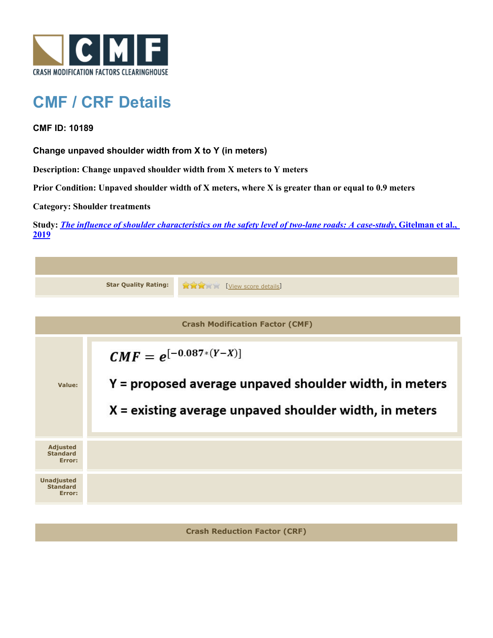

## **CMF / CRF Details**

**CMF ID: 10189**

**Change unpaved shoulder width from X to Y (in meters)**

**Description: Change unpaved shoulder width from X meters to Y meters**

**Prior Condition: Unpaved shoulder width of X meters, where X is greater than or equal to 0.9 meters**

**Category: Shoulder treatments**

**Study:** *[The influence of shoulder characteristics on the safety level of two-lane roads: A case-study](http://www.cmfclearinghouse.org/study_detail.cfm?stid=584)***[, Gitelman et al.,](http://www.cmfclearinghouse.org/study_detail.cfm?stid=584) [2019](http://www.cmfclearinghouse.org/study_detail.cfm?stid=584)**

|                                                | <b>Star Quality Rating:</b>                                                                                                                      | <b>RARA</b><br>[View score details]    |
|------------------------------------------------|--------------------------------------------------------------------------------------------------------------------------------------------------|----------------------------------------|
|                                                |                                                                                                                                                  |                                        |
|                                                |                                                                                                                                                  | <b>Crash Modification Factor (CMF)</b> |
| Value:                                         | $CMF = e^{[-0.087*(Y-X)]}$<br>Y = proposed average unpaved shoulder width, in meters<br>$X =$ existing average unpaved shoulder width, in meters |                                        |
| <b>Adjusted</b><br><b>Standard</b><br>Error:   |                                                                                                                                                  |                                        |
| <b>Unadjusted</b><br><b>Standard</b><br>Error: |                                                                                                                                                  |                                        |
|                                                |                                                                                                                                                  |                                        |

**Crash Reduction Factor (CRF)**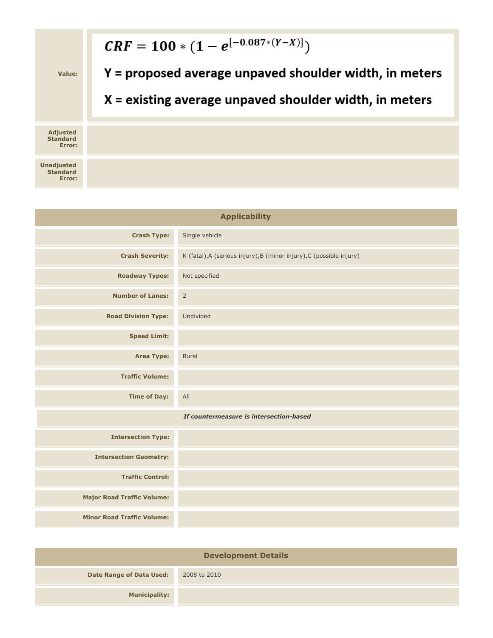

| <b>Applicability</b>                    |                                                                      |  |  |
|-----------------------------------------|----------------------------------------------------------------------|--|--|
| <b>Crash Type:</b>                      | Single vehicle                                                       |  |  |
| <b>Crash Severity:</b>                  | K (fatal), A (serious injury), B (minor injury), C (possible injury) |  |  |
| <b>Roadway Types:</b>                   | Not specified                                                        |  |  |
| <b>Number of Lanes:</b>                 | $\overline{2}$                                                       |  |  |
| <b>Road Division Type:</b>              | Undivided                                                            |  |  |
| <b>Speed Limit:</b>                     |                                                                      |  |  |
| Area Type:                              | Rural                                                                |  |  |
| <b>Traffic Volume:</b>                  |                                                                      |  |  |
| <b>Time of Day:</b>                     | All                                                                  |  |  |
| If countermeasure is intersection-based |                                                                      |  |  |
| <b>Intersection Type:</b>               |                                                                      |  |  |
| <b>Intersection Geometry:</b>           |                                                                      |  |  |
| <b>Traffic Control:</b>                 |                                                                      |  |  |
| <b>Major Road Traffic Volume:</b>       |                                                                      |  |  |
| <b>Minor Road Traffic Volume:</b>       |                                                                      |  |  |

| <b>Development Details</b>      |              |  |  |
|---------------------------------|--------------|--|--|
| <b>Date Range of Data Used:</b> | 2008 to 2010 |  |  |
| <b>Municipality:</b>            |              |  |  |